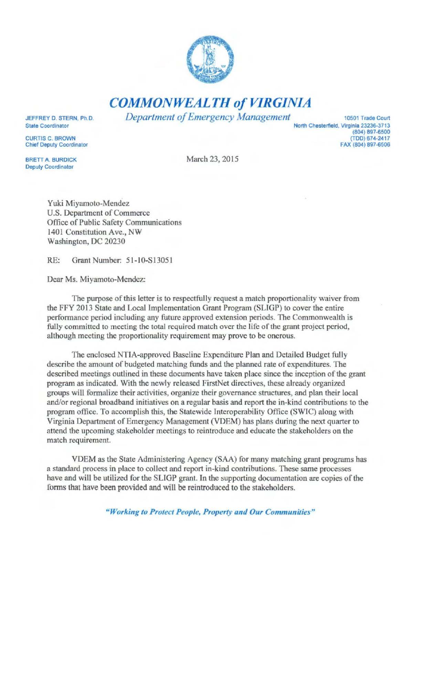

*COMMONWEALTH of VIRGINIA* 

*Department of Emergency Management* 10501 Trade Court

JEFFREY D. STERN, Ph.D. State Coordinator

CURTIS C. BROWN Chief Deputy Coordinator

BRETT A. BURDICK Deputy Coordinator

March 23, 2015

North Chesterfield, Virginia 23236-3713

(804) 897-6500 (TDD) 674-2417 FAX (804) 897-6506

Yuki Miyamoto-Mendez U.S. Department of Commerce Office of Public Safety Communications 1401 Constitution Ave., NW Washington, DC 20230

RE: Grant Number: 51-10-S13051

Dear Ms. Miyamoto-Mendez:

The purpose of this letter is to respectfully request a match proportionality waiver from the FFY 2013 State and Local Implementation Grant Program (SLIGP) to cover the entire performance period including any future approved extension periods. The Commonwealth is fully committed to meeting the total required match over the life of the grant project period, although meeting the proportionality requirement may prove to be onerous.

The enclosed NTIA-approved Baseline Expenditure Plan and Detailed Budget fully describe the amount of budgeted matching funds and the planned rate of expenditures. The described meetings outlined in these documents have taken place since the inception of the grant program as indicated. With the newly released FirstNet directives, these already organized groups will formalize their activities, organize their governance structures, and plan their local and/or regional broadband initiatives on a regular basis and report the in-kind contributions to the program office. To accomplish this, the Statewide Interopcrability Office (SWIC) along with Virginia Department of Emergency Management (VDEM) has plans during the next quarter to attend the upcoming stakeholder meetings to reintroduce and educate the stakeholders on the match requirement.

VDEM as the State Administering Agency (SAA) for many matching grant programs has a standard process in place to collect and report in-kind contributions. These same processes have and will be utilized for the SLIGP grant. In the supporting documentation are copies of the forms that have been provided and will be reintroduced to the stakeholders.

*"Working to Protect People, Property and Our Communities"*